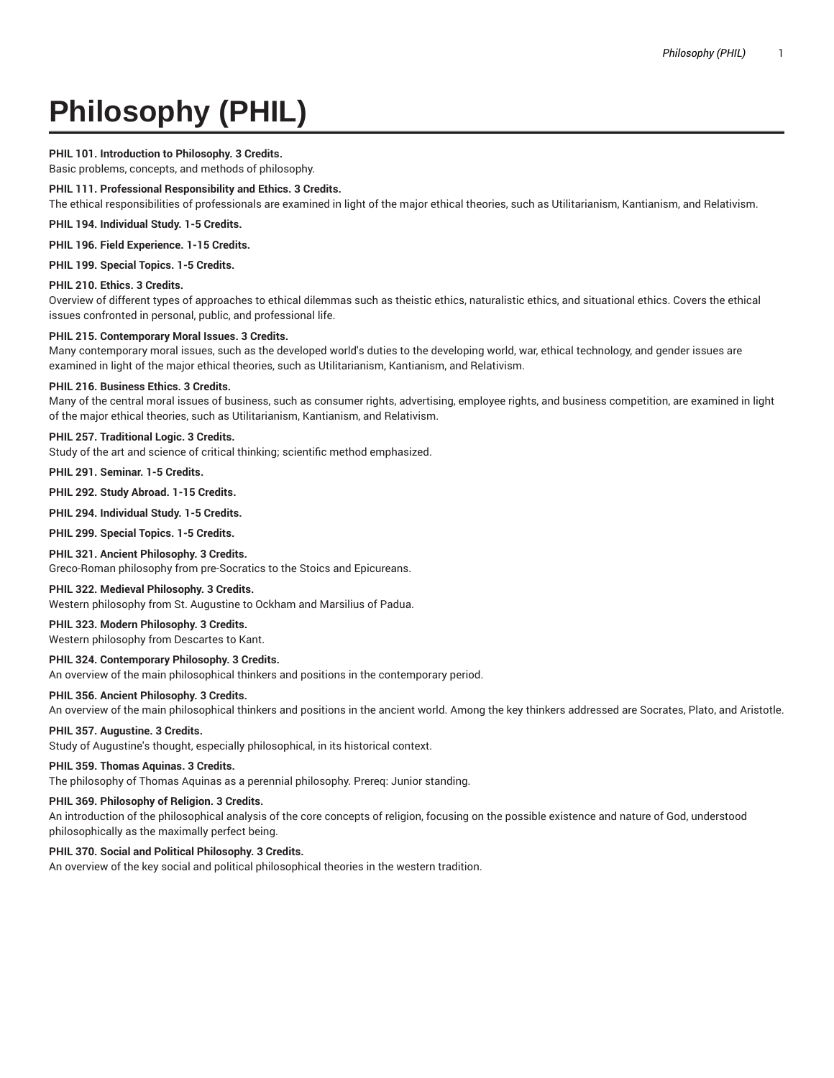# **Philosophy (PHIL)**

# **PHIL 101. Introduction to Philosophy. 3 Credits.**

Basic problems, concepts, and methods of philosophy.

## **PHIL 111. Professional Responsibility and Ethics. 3 Credits.**

The ethical responsibilities of professionals are examined in light of the major ethical theories, such as Utilitarianism, Kantianism, and Relativism.

### **PHIL 194. Individual Study. 1-5 Credits.**

**PHIL 196. Field Experience. 1-15 Credits.**

**PHIL 199. Special Topics. 1-5 Credits.**

#### **PHIL 210. Ethics. 3 Credits.**

Overview of different types of approaches to ethical dilemmas such as theistic ethics, naturalistic ethics, and situational ethics. Covers the ethical issues confronted in personal, public, and professional life.

#### **PHIL 215. Contemporary Moral Issues. 3 Credits.**

Many contemporary moral issues, such as the developed world's duties to the developing world, war, ethical technology, and gender issues are examined in light of the major ethical theories, such as Utilitarianism, Kantianism, and Relativism.

# **PHIL 216. Business Ethics. 3 Credits.**

Many of the central moral issues of business, such as consumer rights, advertising, employee rights, and business competition, are examined in light of the major ethical theories, such as Utilitarianism, Kantianism, and Relativism.

## **PHIL 257. Traditional Logic. 3 Credits.**

Study of the art and science of critical thinking; scientific method emphasized.

# **PHIL 291. Seminar. 1-5 Credits.**

**PHIL 292. Study Abroad. 1-15 Credits.**

**PHIL 294. Individual Study. 1-5 Credits.**

**PHIL 299. Special Topics. 1-5 Credits.**

## **PHIL 321. Ancient Philosophy. 3 Credits.**

Greco-Roman philosophy from pre-Socratics to the Stoics and Epicureans.

## **PHIL 322. Medieval Philosophy. 3 Credits.**

Western philosophy from St. Augustine to Ockham and Marsilius of Padua.

# **PHIL 323. Modern Philosophy. 3 Credits.**

Western philosophy from Descartes to Kant.

# **PHIL 324. Contemporary Philosophy. 3 Credits.**

An overview of the main philosophical thinkers and positions in the contemporary period.

## **PHIL 356. Ancient Philosophy. 3 Credits.**

An overview of the main philosophical thinkers and positions in the ancient world. Among the key thinkers addressed are Socrates, Plato, and Aristotle.

#### **PHIL 357. Augustine. 3 Credits.**

Study of Augustine's thought, especially philosophical, in its historical context.

#### **PHIL 359. Thomas Aquinas. 3 Credits.**

The philosophy of Thomas Aquinas as a perennial philosophy. Prereq: Junior standing.

# **PHIL 369. Philosophy of Religion. 3 Credits.**

An introduction of the philosophical analysis of the core concepts of religion, focusing on the possible existence and nature of God, understood philosophically as the maximally perfect being.

# **PHIL 370. Social and Political Philosophy. 3 Credits.**

An overview of the key social and political philosophical theories in the western tradition.